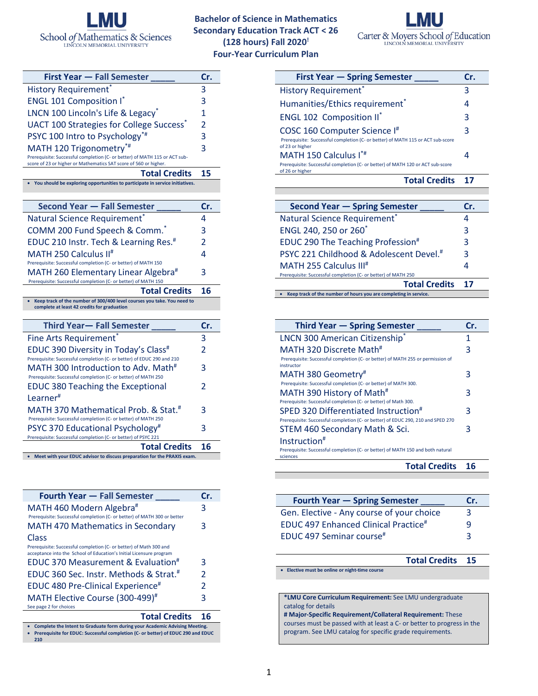

**Bachelor of Science in Mathematics Secondary Education Track ACT < 26 (128 hours) Fall 2020! Four-Year Curriculum Plan**



| <b>First Year - Fall Semester</b>                                                                                                              | Cr. |
|------------------------------------------------------------------------------------------------------------------------------------------------|-----|
| <b>History Requirement</b>                                                                                                                     | 3   |
| <b>ENGL 101 Composition I*</b>                                                                                                                 | 3   |
| LNCN 100 Lincoln's Life & Legacy*                                                                                                              | 1   |
| UACT 100 Strategies for College Success <sup>*</sup>                                                                                           | 2   |
| PSYC 100 Intro to Psychology*#                                                                                                                 | 3   |
| MATH 120 Trigonometry*#                                                                                                                        | 3   |
| Prerequisite: Successful completion (C- or better) of MATH 115 or ACT sub-<br>score of 23 or higher or Mathematics SAT score of 560 or higher. |     |
| <b>Total Credits</b>                                                                                                                           | 15  |
| You should be exploring opportunities to participate in service initiatives.                                                                   |     |
|                                                                                                                                                |     |
| <b>Second Year - Fall Semester</b>                                                                                                             | Cr. |
| Natural Science Requirement <sup>®</sup>                                                                                                       | 4   |
| COMM 200 Fund Speech & Comm. <sup>*</sup>                                                                                                      | 3   |
| EDUC 210 Instr. Tech & Learning Res. <sup>#</sup>                                                                                              | 2   |
| MATH 250 Calculus II <sup>#</sup>                                                                                                              | 4   |
| Prerequisite: Successful completion (C- or better) of MATH 150                                                                                 |     |
| MATH 260 Elementary Linear Algebra <sup>#</sup><br>Prerequisite: Successful completion (C- or better) of MATH 150                              | 3   |
| <b>Total Credits</b>                                                                                                                           | 16  |
| Keep track of the number of 300/400 level courses you take. You need to<br>complete at least 42 credits for graduation                         |     |
|                                                                                                                                                |     |
| <b>Third Year-Fall Semester</b>                                                                                                                | Cr. |
| Fine Arts Requirement*                                                                                                                         | 3   |
|                                                                                                                                                |     |
| EDUC 390 Diversity in Today's Class <sup>#</sup>                                                                                               | 2   |
| Prerequisite: Successful completion (C- or better) of EDUC 290 and 210                                                                         |     |
| MATH 300 Introduction to Adv. Math <sup>#</sup>                                                                                                | 3   |
| Prerequisite: Successful completion (C- or better) of MATH 250                                                                                 | 2   |
| <b>EDUC 380 Teaching the Exceptional</b>                                                                                                       |     |
| Learner <sup>#</sup>                                                                                                                           |     |
| MATH 370 Mathematical Prob. & Stat. <sup>#</sup><br>Prerequisite: Successful completion (C- or better) of MATH 250                             | 3   |
| PSYC 370 Educational Psychology <sup>#</sup>                                                                                                   | 3   |
| Prerequisite: Successful completion (C- or better) of PSYC 221                                                                                 |     |
| <b>Total Credits</b><br>Meet with your EDUC advisor to discuss preparation for the PRAXIS exam.                                                | 16  |

| <b>Fourth Year - Fall Semester</b>                                                                                                                                     | Cr. |  |  |
|------------------------------------------------------------------------------------------------------------------------------------------------------------------------|-----|--|--|
| MATH 460 Modern Algebra#                                                                                                                                               | 3   |  |  |
| Prerequisite: Successful completion (C- or better) of MATH 300 or better                                                                                               |     |  |  |
| <b>MATH 470 Mathematics in Secondary</b>                                                                                                                               | 3   |  |  |
| Class                                                                                                                                                                  |     |  |  |
| Prerequisite: Successful completion (C- or better) of Math 300 and<br>acceptance into the School of Education's Initial Licensure program                              |     |  |  |
| EDUC 370 Measurement & Evaluation <sup>#</sup>                                                                                                                         | 3   |  |  |
| EDUC 360 Sec. Instr. Methods & Strat. <sup>#</sup>                                                                                                                     | 2   |  |  |
| EDUC 480 Pre-Clinical Experience <sup>#</sup>                                                                                                                          | 2   |  |  |
| MATH Elective Course (300-499) <sup>#</sup>                                                                                                                            | 3   |  |  |
| See page 2 for choices                                                                                                                                                 |     |  |  |
| <b>Total Credits</b>                                                                                                                                                   | 16  |  |  |
| Complete the Intent to Graduate form during your Academic Advising Meeting.<br>Prerequisite for EDUC: Successful completion (C- or better) of EDUC 290 and EDUC<br>210 |     |  |  |

| <b>First Year - Spring Semester</b>                                                                                                | Cr. |  |  |  |
|------------------------------------------------------------------------------------------------------------------------------------|-----|--|--|--|
| <b>History Requirement*</b>                                                                                                        | 3   |  |  |  |
| Humanities/Ethics requirement*                                                                                                     | 4   |  |  |  |
| <b>ENGL 102 Composition II*</b>                                                                                                    | 3   |  |  |  |
| COSC 160 Computer Science I#<br>Prerequisite: Successful completion (C- or better) of MATH 115 or ACT sub-score<br>of 23 or higher | 3   |  |  |  |
| MATH 150 Calculus I*#                                                                                                              |     |  |  |  |
| Prerequisite: Successful completion (C- or better) of MATH 120 or ACT sub-score<br>of 26 or higher                                 |     |  |  |  |
| <b>Total Credits</b>                                                                                                               |     |  |  |  |

| <b>Second Year - Spring Semester</b>                             | Cr. |
|------------------------------------------------------------------|-----|
| Natural Science Requirement <sup>*</sup>                         |     |
| ENGL 240, 250 or 260 <sup>*</sup>                                | 3   |
| EDUC 290 The Teaching Profession <sup>#</sup>                    | 3   |
| PSYC 221 Childhood & Adolescent Devel. <sup>#</sup>              | З   |
| MATH 255 Calculus III <sup>#</sup>                               | 4   |
| Prerequisite: Successful completion (C- or better) of MATH 250   |     |
| <b>Total Credits</b>                                             | 17  |
| Keep track of the number of hours you are completing in service. |     |

| Third Year – Spring Semester                                                                                                         | Cr. |
|--------------------------------------------------------------------------------------------------------------------------------------|-----|
| <b>LNCN 300 American Citizenship*</b>                                                                                                |     |
| MATH 320 Discrete Math <sup>#</sup><br>Prerequisite: Successful completion (C- or better) of MATH 255 or permission of               | 3   |
| instructor<br>MATH 380 Geometry#<br>Prerequisite: Successful completion (C- or better) of MATH 300.                                  | 3   |
| MATH 390 History of Math <sup>#</sup><br>Prerequisite: Successful completion (C- or better) of Math 300.                             | 3   |
| SPED 320 Differentiated Instruction <sup>#</sup><br>Prerequisite: Successful completion (C- or better) of EDUC 290, 210 and SPED 270 | 3   |
| STEM 460 Secondary Math & Sci.                                                                                                       | 3   |
| Instruction <sup>#</sup><br>Prerequisite: Successful completion (C- or better) of MATH 150 and both natural<br>sciences              |     |
| <b>Total Credits</b>                                                                                                                 | 16  |

| <b>Fourth Year – Spring Semester</b>             | Cr. |
|--------------------------------------------------|-----|
|                                                  |     |
| Gen. Elective - Any course of your choice        | 3   |
| EDUC 497 Enhanced Clinical Practice <sup>#</sup> | q   |
| <b>EDUC</b> 497 Seminar course <sup>#</sup>      | ₹   |

**Total Credits 15** • **Elective must be online or night-time course \*LMU Core Curriculum Requirement:** See LMU undergraduate catalog for details **# Major-Specific Requirement/Collateral Requirement:** These

courses must be passed with at least a C- or better to progress in the program. See LMU catalog for specific grade requirements.